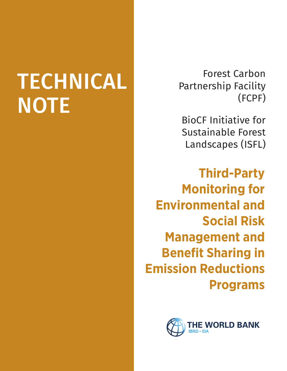# TECHNICAL **NOTE**

Forest Carbon Partnership Facility (FCPF)

BioCF Initiative for Sustainable Forest Landscapes (ISFL)

**Third-Party Monitoring for Environmental and Social Risk Management and Benefit Sharing in Emission Reductions Programs**

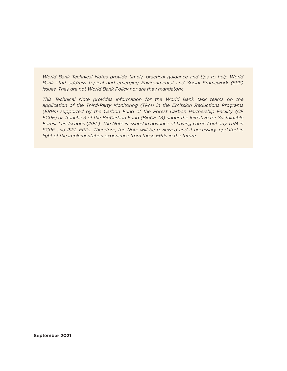*World Bank Technical Notes provide timely, practical guidance and tips to help World Bank staff address topical and emerging Environmental and Social Framework (ESF) issues. They are not World Bank Policy nor are they mandatory.* 

*This Technical Note provides information for the World Bank task teams on the application of the Third-Party Monitoring (TPM) in the Emission Reductions Programs (ERPs) supported by the Carbon Fund of the Forest Carbon Partnership Facility (CF FCPF) or Tranche 3 of the BioCarbon Fund (BioCF T3) under the Initiative for Sustainable Forest Landscapes (ISFL). The Note is issued in advance of having carried out any TPM in FCPF and ISFL ERPs. Therefore, the Note will be reviewed and if necessary, updated in light of the implementation experience from these ERPs in the future.*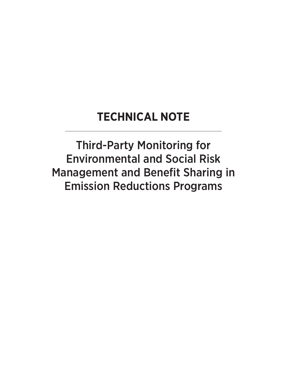#### **TECHNICAL NOTE**

Third-Party Monitoring for Environmental and Social Risk Management and Benefit Sharing in Emission Reductions Programs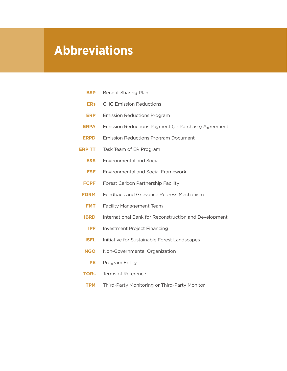## **Abbreviations**

- **BSP** Benefit Sharing Plan
- **ERs** GHG Emission Reductions
- **ERP** Emission Reductions Program
- **ERPA** Emission Reductions Payment (or Purchase) Agreement
- **ERPD** Emission Reductions Program Document
- **ERP TT** Task Team of ER Program
	- **E&S** Environmental and Social
	- **ESF** Environmental and Social Framework
	- **FCPF** Forest Carbon Partnership Facility
- **FGRM** Feedback and Grievance Redress Mechanism
- **FMT** Facility Management Team
- **IBRD** International Bank for Reconstruction and Development
- **IPF** Investment Project Financing
- **ISFL** Initiative for Sustainable Forest Landscapes
- **NGO** Non-Governmental Organization
	- **PE** Program Entity
- **TORs** Terms of Reference
- **TPM** Third-Party Monitoring or Third-Party Monitor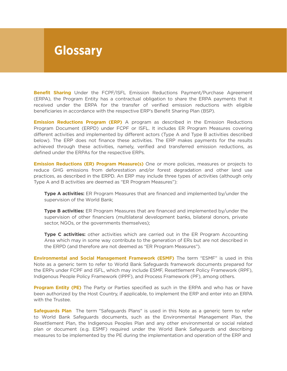## **Glossary**

**Benefit Sharing** Under the FCPF/ISFL Emission Reductions Payment/Purchase Agreement (ERPA), the Program Entity has a contractual obligation to share the ERPA payments that it received under the ERPA for the transfer of verified emission reductions with eligible beneficiaries in accordance with the respective ERP's Benefit Sharing Plan (BSP).

**Emission Reductions Program (ERP)** A program as described in the Emission Reductions Program Document (ERPD) under FCPF or ISFL. It includes ER Program Measures covering different activities and implemented by different actors (Type A and Type B activities described below). The ERP does not finance these activities. The ERP makes payments for the results achieved through these activities, namely, verified and transferred emission reductions, as defined under the ERPAs for the respective ERPs.

**Emission Reductions (ER) Program Measure(s)** One or more policies, measures or projects to reduce GHG emissions from deforestation and/or forest degradation and other land use practices, as described in the ERPD. An ERP may include three types of activities (although only Type A and B activities are deemed as "ER Program Measures"):

**Type A activities:** ER Program Measures that are financed and implemented by/under the supervision of the World Bank;

**Type B activities:** ER Program Measures that are financed and implemented by/under the supervision of other financiers (multilateral development banks, bilateral donors, private sector, NGOs, or the governments themselves);

**Type C activities:** other activities which are carried out in the ER Program Accounting Area which may in some way contribute to the generation of ERs but are not described in the ERPD (and therefore are not deemed as "ER Program Measures").

**Environmental and Social Management Framework (ESMF)** The term "ESMF" is used in this Note as a generic term to refer to World Bank Safeguards framework documents prepared for the ERPs under FCPF and ISFL, which may include ESMF, Resettlement Policy Framework (RPF), Indigenous People Policy Framework (IPPF), and Process Framework (PF), among others.

**Program Entity (PE)** The Party or Parties specified as such in the ERPA and who has or have been authorized by the Host Country, if applicable, to implement the ERP and enter into an ERPA with the Trustee.

**Safeguards Plan** The term "Safeguards Plans" is used in this Note as a generic term to refer to World Bank Safeguards documents, such as the Environmental Management Plan, the Resettlement Plan, the Indigenous Peoples Plan and any other environmental or social related plan or document (e.g. ESMF) required under the World Bank Safeguards and describing measures to be implemented by the PE during the implementation and operation of the ERP and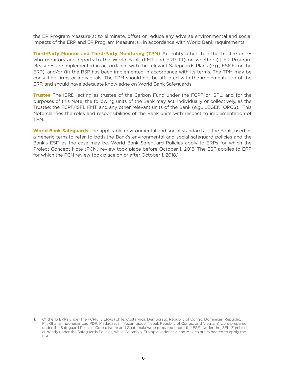the ER Program Measure(s) to eliminate, offset or reduce any adverse environmental and social impacts of the ERP and ER Program Measure(s), in accordance with World Bank requirements.

**Third-Party Monitor and Third-Party Monitoring (TPM)** An entity other than the Trustee or PE who monitors and reports to the World Bank (FMT and ERP TT) on whether (i) ER Program Measures are implemented in accordance with the relevant Safeguards Plans (e.g., ESMF for the ERP), and/or (ii) the BSP has been implemented in accordance with its terms. The TPM may be consulting firms or individuals. The TPM should not be affiliated with the implementation of the ERP, and should have adequate knowledge on World Bank Safeguards.

**Trustee** The IBRD, acting as trustee of the Carbon Fund under the FCPF or ISFL, and for the purposes of this Note, the following units of the Bank may act, individually or collectively, as the Trustee: the FCPF/ISFL FMT, and any other relevant units of the Bank (e.g., LEGEN, OPCS). This Note clarifies the roles and responsibilities of the Bank units with respect to implementation of TPM.

**World Bank Safeguards** The applicable environmental and social standards of the Bank, used as a generic term to refer to both the Bank's environmental and social safeguard policies and the Bank's ESF, as the case may be. World Bank Safeguard Policies apply to ERPs for which the Project Concept Note (PCN) review took place before October 1, 2018. The ESF applies to ERP for which the PCN review took place on or after October 1, 2018.<sup>1</sup>

<sup>1.</sup> Of the 15 ERPs under the FCPF, 13 ERPs (Chile, Costa Rica, Democratic Republic of Congo, Dominican Republic, Fiji, Ghana, Indonesia, Lao PDR, Madagascar, Mozambique, Nepal, Republic of Congo, and Vietnam) were prepared under the Safeguard Policies. Cote d'Ivoire and Guatemala were prepared under the ESF. Under the ISFL, Zambia is currently under the Safeguards Policies, while Colombia, Ethiopia, Indonesia and Mexico are expected to apply the ESF.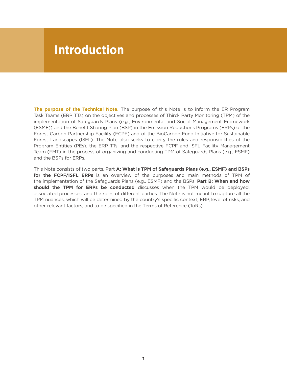#### **Introduction**

**The purpose of the Technical Note.** The purpose of this Note is to inform the ER Program Task Teams (ERP TTs) on the objectives and processes of Third- Party Monitoring (TPM) of the implementation of Safeguards Plans (e.g., Environmental and Social Management Framework (ESMF)) and the Benefit Sharing Plan (BSP) in the Emission Reductions Programs (ERPs) of the Forest Carbon Partnership Facility (FCPF) and of the BioCarbon Fund Initiative for Sustainable Forest Landscapes (ISFL). The Note also seeks to clarify the roles and responsibilities of the Program Entities (PEs), the ERP TTs, and the respective FCPF and ISFL Facility Management Team (FMT) in the process of organizing and conducting TPM of Safeguards Plans (e.g., ESMF) and the BSPs for ERPs.

This Note consists of two parts. Part **A: What is TPM of Safeguards Plans (e.g., ESMF) and BSPs for the FCPF/ISFL ERPs** is an overview of the purposes and main methods of TPM of the implementation of the Safeguards Plans (e.g., ESMF) and the BSPs. **Part B: When and how should the TPM for ERPs be conducted** discusses when the TPM would be deployed, associated processes, and the roles of different parties. The Note is not meant to capture all the TPM nuances, which will be determined by the country's specific context, ERP, level of risks, and other relevant factors, and to be specified in the Terms of Reference (ToRs).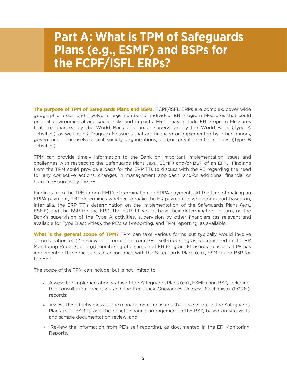## **Part A: What is TPM of Safeguards Plans (e.g., ESMF) and BSPs for the FCPF/ISFL ERPs?**

**The purpose of TPM of Safeguards Plans and BSPs.** FCPF/ISFL ERPs are complex, cover wide geographic areas, and involve a large number of individual ER Program Measures that could present environmental and social risks and impacts. ERPs may include ER Program Measures that are financed by the World Bank and under supervision by the World Bank (Type A activities), as well as ER Program Measures that are financed or implemented by other donors, governments themselves, civil society organizations, and/or private sector entities (Type B activities).

TPM can provide timely information to the Bank on important implementation issues and challenges with respect to the Safeguards Plans (e.g., ESMF) and/or BSP of an ERP. Findings from the TPM could provide a basis for the ERP TTs to discuss with the PE regarding the need for any corrective actions, changes in management approach, and/or additional financial or human resources by the PE.

Findings from the TPM inform FMT's determination on ERPA payments. At the time of making an ERPA payment, FMT determines whether to make the ER payment in whole or in part based on, inter alia, the ERP TT's determination on the implementation of the Safeguards Plans (e.g., ESMF) and the BSP for the ERP. The ERP TT would base their determination, in turn, on the Bank's supervision of the Type A activities, supervision by other financiers (as relevant and available for Type B activities), the PE's self-reporting, and TPM reporting, as available.

**What is the general scope of TPM?** TPM can take various forms but typically would involve a combination of (i) review of information from PE's self-reporting as documented in the ER Monitoring Reports, and (ii) monitoring of a sample of ER Program Measures to assess if PE has implemented these measures in accordance with the Safeguards Plans (e.g., ESMF) and BSP for the ERP.

The scope of the TPM can include, but is not limited to:

- » Assess the implementation status of the Safeguards Plans (e.g., ESMF) and BSP, including the consultation processes and the Feedback Grievances Redress Mechanism (FGRM) records;
- » Assess the effectiveness of the management measures that are set out in the Safeguards Plans (e.g., ESMF), and the benefit sharing arrangement in the BSP, based on site visits and sample documentation review; and
- » Review the information from PE's self-reporting, as documented in the ER Monitoring Reports.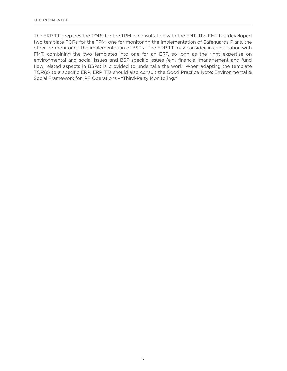The ERP TT prepares the TORs for the TPM in consultation with the FMT. The FMT has developed two template TORs for the TPM: one for monitoring the implementation of Safeguards Plans, the other for monitoring the implementation of BSPs. The ERP TT may consider, in consultation with FMT, combining the two templates into one for an ERP, so long as the right expertise on environmental and social issues and BSP-specific issues (e.g. financial management and fund flow related aspects in BSPs) is provided to undertake the work. When adapting the template TOR(s) to a specific ERP, ERP TTs should also consult the Good Practice Note: Environmental & Social Framework for IPF Operations - "Third-Party Monitoring."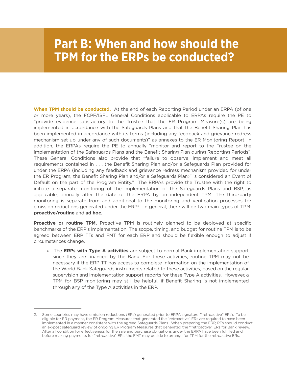#### **Part B: When and how should the TPM for the ERPs be conducted?**

**When TPM should be conducted.** At the end of each Reporting Period under an ERPA (of one or more years), the FCPF/ISFL General Conditions applicable to ERPAs require the PE to "provide evidence satisfactory to the Trustee that the ER Program Measure(s) are being implemented in accordance with the Safeguards Plans and that the Benefit Sharing Plan has been implemented in accordance with its terms (including any feedback and grievance redress mechanism set up under any of such documents)" as annexes to the ER Monitoring Report. In addition, the ERPAs require the PE to annually "monitor and report to the Trustee on the implementation of the Safeguards Plans and the Benefit Sharing Plan during Reporting Periods". These General Conditions also provide that "failure to observe, implement and meet all requirements contained in . . . the Benefit Sharing Plan and/or a Safeguards Plan provided for under the ERPA (including any feedback and grievance redress mechanism provided for under the ER Program, the Benefit Sharing Plan and/or a Safeguards Plan)" is considered an Event of Default on the part of the Program Entity." The ERPAs provide the Trustee with the right to initiate a separate monitoring of the implementation of the Safeguards Plans and BSP, as applicable, annually after the date of the ERPA by an independent TPM. The third-party monitoring is separate from and additional to the monitoring and verification processes for emission reductions generated under the ERP<sup>2</sup>. In general, there will be two main types of TPM: **proactive/routine** and **ad hoc.** 

**Proactive or routine TPM.** Proactive TPM is routinely planned to be deployed at specific benchmarks of the ERP's implementation. The scope, timing, and budget for routine TPM is to be agreed between ERP TTs and FMT for each ERP and should be flexible enough to adjust if circumstances change.

» The **ERPs with Type A activities** are subject to normal Bank implementation support since they are financed by the Bank. For these activities, routine TPM may not be necessary if the ERP TT has access to complete information on the implementation of the World Bank Safeguards instruments related to these activities, based on the regular supervision and implementation support reports for these Type A activities. However, a TPM for BSP monitoring may still be helpful, if Benefit Sharing is not implemented through any of the Type A activities in the ERP.

<sup>2.</sup> Some countries may have emission reductions (ERs) generated prior to ERPA signature ("retroactive" ERs). To be eligible for ER payment, the ER Program Measures that generated the "retroactive" ERs are required to have been implemented in a manner consistent with the agreed Safeguards Plans. When preparing the ERP, PEs should conduct an ex-post safeguard review of ongoing ER Program Measures that generated the "'retroactive" ERs for Bank review. After all condition for effectiveness for the sale and purchase obligations under the ERPA have been fulfilled and before making payments for "retroactive" ERs, the FMT may decide to arrange for TPM for the retroactive ERs.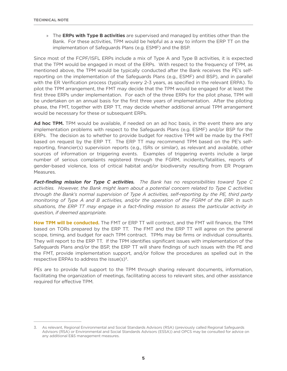» The **ERPs with Type B activities** are supervised and managed by entities other than the Bank. For these activities, TPM would be helpful as a way to inform the ERP TT on the implementation of Safeguards Plans (e.g. ESMF) and the BSP.

Since most of the FCPF/ISFL ERPs include a mix of Type A and Type B activities, it is expected that the TPM would be engaged in most of the ERPs. With respect to the frequency of TPM, as mentioned above, the TPM would be typically conducted after the Bank receives the PE's selfreporting on the implementation of the Safeguards Plans (e.g., ESMF) and BSP), and in parallel with the ER Verification process (typically every 2-3 years, as specified in the relevant ERPA). To pilot the TPM arrangement, the FMT may decide that the TPM would be engaged for at least the first three ERPs under implementation. For each of the three ERPs for the pilot phase, TPM will be undertaken on an annual basis for the first three years of implementation. After the piloting phase, the FMT, together with ERP TT, may decide whether additional annual TPM arrangement would be necessary for these or subsequent ERPs.

Ad hoc TPM. TPM would be available, if needed on an ad hoc basis, in the event there are any implementation problems with respect to the Safeguards Plans (e.g. ESMF) and/or BSP for the ERPs. The decision as to whether to provide budget for reactive TPM will be made by the FMT based on request by the ERP TT. The ERP TT may recommend TPM based on the PE's selfreporting, financier(s) supervision reports (e.g., ISRs or similar), as relevant and available, other sources of information or triggering events. Examples of triggering events include a large number of serious complaints registered through the FGRM, incidents/fatalities, reports of gender-based violence, loss of critical habitat and/or biodiversity resulting from ER Program Measures.

*Fact-finding mission for Type C activities. The Bank has no responsibilities toward Type C activities. However, the Bank might learn about a potential concern related to Type C activities through the Bank's normal supervision of Type A activities, self-reporting by the PE, third party monitoring of Type A and B activities, and/or the operation of the FGRM of the ERP. In such situations, the ERP TT may engage in a fact-finding mission to assess the particular activity in question, if deemed appropriate.* 

**How TPM will be conducted.** The FMT or ERP TT will contract, and the FMT will finance, the TPM based on TORs prepared by the ERP TT. The FMT and the ERP TT will agree on the general scope, timing, and budget for each TPM contract. TPMs may be firms or individual consultants. They will report to the ERP TT. If the TPM identifies significant issues with implementation of the Safeguards Plans and/or the BSP, the ERP TT will share findings of such issues with the PE and the FMT, provide implementation support, and/or follow the procedures as spelled out in the respective ERPAs to address the issue $(s)^3$ .

PEs are to provide full support to the TPM through sharing relevant documents, information, facilitating the organization of meetings, facilitating access to relevant sites, and other assistance required for effective TPM.

<sup>3.</sup> As relevant, Regional Environmental and Social Standards Advisors (RSA) (previously called Regional Safeguards Advisors (RSA) or Environmental and Social Standards Advisors (ESSA)) and OPCS may be consulted for advice on any additional E&S management measures.